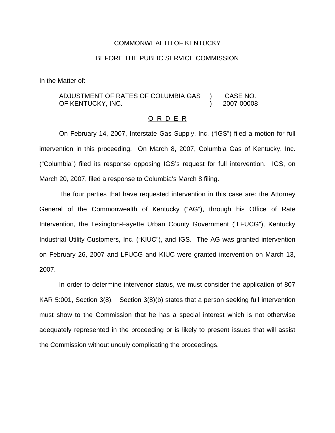## COMMONWEALTH OF KENTUCKY

## BEFORE THE PUBLIC SERVICE COMMISSION

In the Matter of:

## ADJUSTMENT OF RATES OF COLUMBIA GAS OF KENTUCKY, INC. ) CASE NO. ) 2007-00008

## O R D E R

On February 14, 2007, Interstate Gas Supply, Inc. ("IGS") filed a motion for full intervention in this proceeding. On March 8, 2007, Columbia Gas of Kentucky, Inc. ("Columbia") filed its response opposing IGS's request for full intervention. IGS, on March 20, 2007, filed a response to Columbia's March 8 filing.

The four parties that have requested intervention in this case are: the Attorney General of the Commonwealth of Kentucky ("AG"), through his Office of Rate Intervention, the Lexington-Fayette Urban County Government ("LFUCG"), Kentucky Industrial Utility Customers, Inc. ("KIUC"), and IGS. The AG was granted intervention on February 26, 2007 and LFUCG and KIUC were granted intervention on March 13, 2007.

In order to determine intervenor status, we must consider the application of 807 KAR 5:001, Section 3(8). Section 3(8)(b) states that a person seeking full intervention must show to the Commission that he has a special interest which is not otherwise adequately represented in the proceeding or is likely to present issues that will assist the Commission without unduly complicating the proceedings.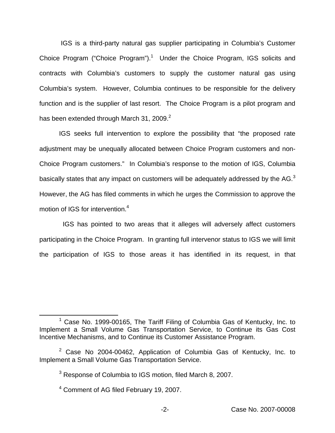IGS is a third-party natural gas supplier participating in Columbia's Customer Choice Program ("Choice Program").<sup>1</sup> Under the Choice Program, IGS solicits and contracts with Columbia's customers to supply the customer natural gas using Columbia's system. However, Columbia continues to be responsible for the delivery function and is the supplier of last resort. The Choice Program is a pilot program and has been extended through March 31, 2009. $2$ 

IGS seeks full intervention to explore the possibility that "the proposed rate adjustment may be unequally allocated between Choice Program customers and non-Choice Program customers." In Columbia's response to the motion of IGS, Columbia basically states that any impact on customers will be adequately addressed by the AG.<sup>3</sup> However, the AG has filed comments in which he urges the Commission to approve the motion of IGS for intervention.<sup>4</sup>

IGS has pointed to two areas that it alleges will adversely affect customers participating in the Choice Program. In granting full intervenor status to IGS we will limit the participation of IGS to those areas it has identified in its request, in that

 $1$  Case No. 1999-00165, The Tariff Filing of Columbia Gas of Kentucky, Inc. to Implement a Small Volume Gas Transportation Service, to Continue its Gas Cost Incentive Mechanisms, and to Continue its Customer Assistance Program.

 $2$  Case No 2004-00462, Application of Columbia Gas of Kentucky, Inc. to Implement a Small Volume Gas Transportation Service.

<sup>&</sup>lt;sup>3</sup> Response of Columbia to IGS motion, filed March 8, 2007.

<sup>4</sup> Comment of AG filed February 19, 2007.